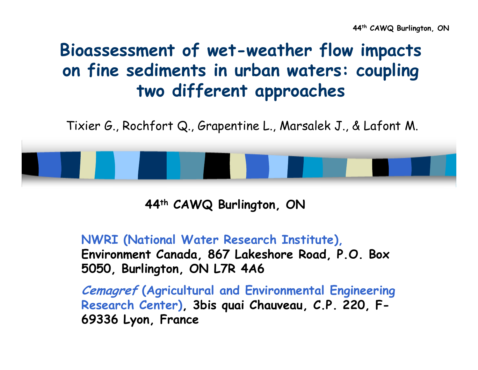# **Bioassessment of wet-weather flow impacts on fine sediments in urban waters: coupling two different approaches**

Tixier G., Rochfort Q., Grapentine L., Marsalek J., & Lafont M.

**44th CAWQ Burlington, ON**

**NWRI (National Water Research Institute), Environment Canada, 867 Lakeshore Road, P.O. Box 5050, Burlington, ON L7R 4A6**

**Cemagref (Agricultural and Environmental Engineering Research Center), 3bis quai Chauveau, C.P. 220, F-69336 Lyon, France**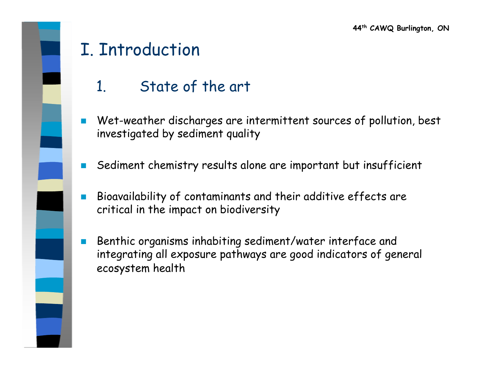# I. Introduction

- 1. State of the art
- $\overline{\phantom{a}}$  Wet-weather discharges are intermittent sources of pollution, best investigated by sediment quality
- F. Sediment chemistry results alone are important but insufficient
- $\sim$  Bioavailability of contaminants and their additive effects are critical in the impact on biodiversity
- $\mathbb{R}^3$  Benthic organisms inhabiting sediment/water interface and integrating all exposure pathways are good indicators of general ecosystem health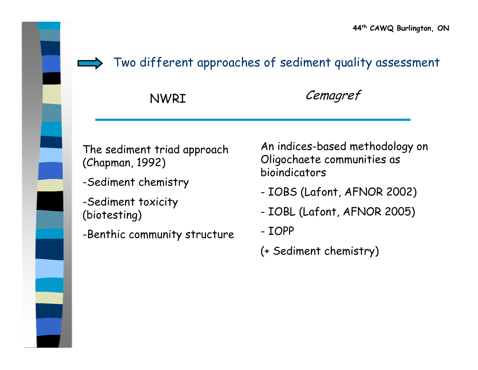

Two different approaches of sediment quality assessment

NWRI Cemagref

The sediment triad approach (Chapman, 1992)

- -Sediment chemistry
- -Sediment toxicity (biotesting)
- -Benthic community structure

An indices-based methodology on Oligochaete communities as bioindicators

- IOBS (Lafont, AFNOR 2002)
- IOBL (Lafont, AFNOR 2005)
- IOPP
- (+ Sediment chemistry)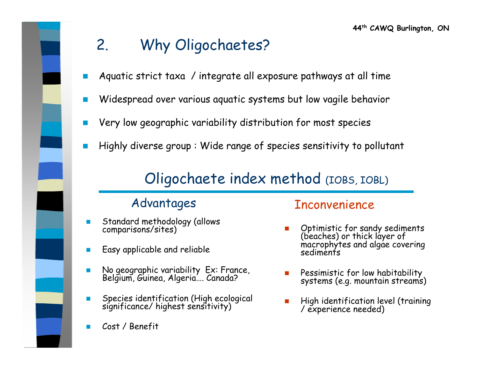# 2. Why Oligochaetes?

- P) Aquatic strict taxa / integrate all exposure pathways at all time
- $\overline{\phantom{a}}$ Widespread over various aquatic systems but low vagile behavior
- P) Very low geographic variability distribution for most species
- p. Highly diverse group : Wide range of species sensitivity to pollutant

### Oligochaete index method (IOBS, IOBL)

- П Standard methodology (allows comparisons/sites)
- $\mathcal{L}_{\mathcal{A}}$ Easy applicable and reliable
- $\mathcal{L}_{\mathcal{A}}$ No geographic variability Ex: France, Belgium, Guinea, Algeria…. Canada?
- $\mathcal{L}$ Species identification (High ecological significance/ highest sensitivity)
- F Cost / Benefit

#### Advantages Inconvenience

- Г Optimistic for sandy sediments (beaches) or thick layer of macrophytes and algae covering sediments
- Г Pessimistic for low habitability systems (e.g. mountain streams)
- Г High identification level (training / experience needed)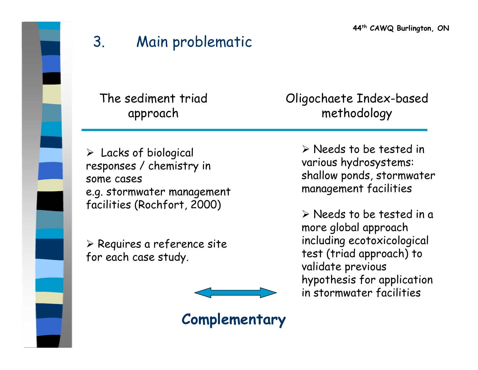**44th CAWQ Burlington, ON**

### 3. Main problematic

The sediment triad approach

 $\triangleright$  Lacks of biological responses / chemistry in some cases e.g. stormwater management facilities (Rochfort, 2000)

¾ Requires a reference site for each case study.

Oligochaete Index-based methodology

> ¾ Needs to be tested in various hydrosystems: shallow ponds, stormwater management facilities

> ¾ Needs to be tested in a more global approach including ecotoxicological test (triad approach) to validate previous hypothesis for application in stormwater facilities

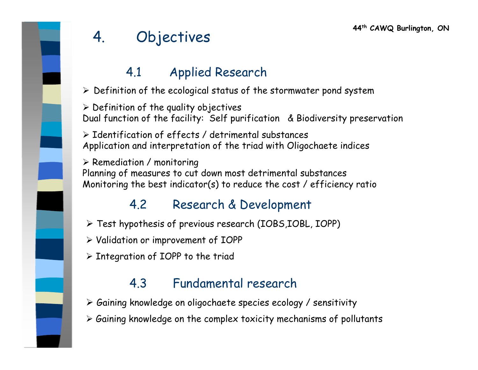## 4. Objectives

#### 4.1 Applied Research

 $\triangleright$  Definition of the ecological status of the stormwater pond system

 $\triangleright$  Definition of the quality objectives Dual function of the facility: Self purification & Biodiversity preservation

¾ Identification of effects / detrimental substances Application and interpretation of the triad with Oligochaete indices

 $\triangleright$  Remediation / monitoring Planning of measures to cut down most detrimental substances Monitoring the best indicator(s) to reduce the cost / efficiency ratio

#### 4.2 Research & Development

- ¾ Test hypothesis of previous research (IOBS,IOBL, IOPP)
- ¾ Validation or improvement of IOPP
- $\triangleright$  Integration of IOPP to the triad

#### 4.3 Fundamental research

- ¾ Gaining knowledge on oligochaete species ecology / sensitivity
- ¾ Gaining knowledge on the complex toxicity mechanisms of pollutants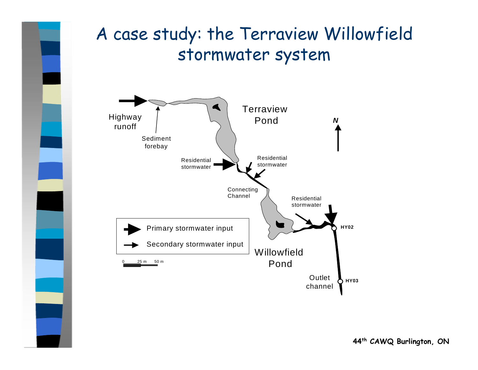# A case study: the Terraview Willowfield stormwater system

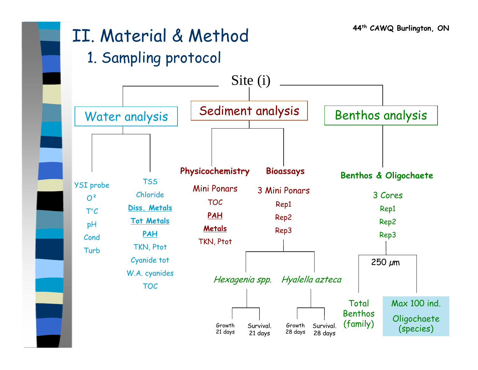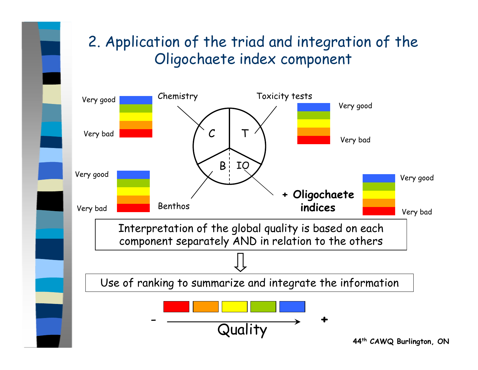### 2. Application of the triad and integration of the Oligochaete index component

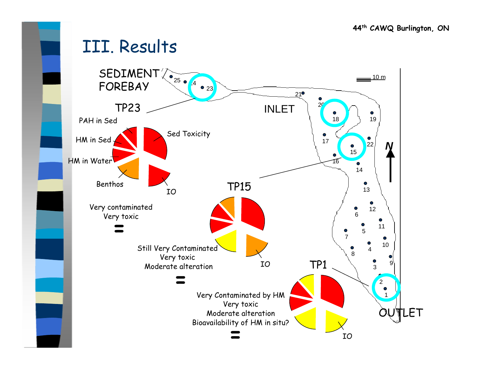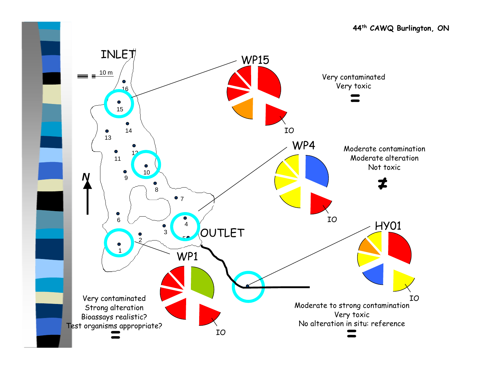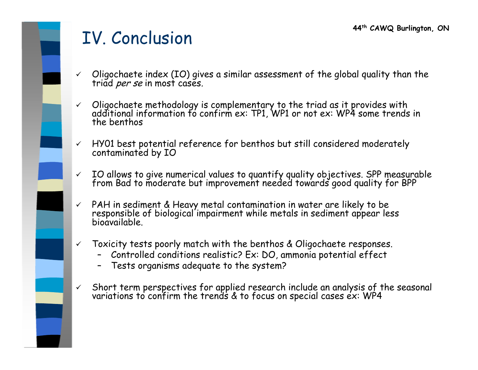# IV. Conclusion

- $\checkmark$ Oligochaete index (IO) gives a similar assessment of the global quality than the triad *per se* in most cases.
- $\checkmark$  Oligochaete methodology is complementary to the triad as it provides with additional information to confirm ex: TP1, WP1 or not ex: WP4 some trends in the benthos
- $\checkmark$ HY01 best potential reference for benthos but still considered moderately contaminated by IO
- $\checkmark$ IO allows to give numerical values to quantify quality objectives. SPP measurable from Bad to moderate but improvement needed towards good quality for BPP
- $\checkmark$ PAH in sediment & Heavy metal contamination in water are likely to be responsible of biological impairment while metals in sediment appear less bioavailable.
- $\checkmark$  Toxicity tests poorly match with the benthos & Oligochaete responses.
	- Controlled conditions realistic? Ex: DO, ammonia potential effect
	- Tests organisms adequate to the system?
- $\checkmark$ Short term perspectives for applied research include an analysis of the seasonal variations to confirm the trends & to focus on special cases ex: WP4